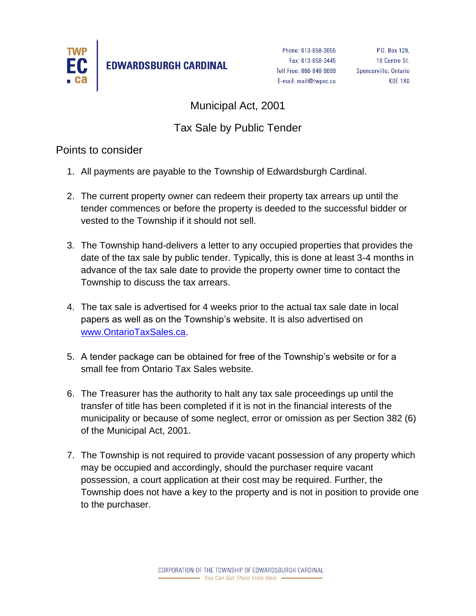

**EDWARDSBURGH CARDINAL** 

Phone: 613-658-3055 Fax: 613-658-3445 Toll Free: 866-848-9099 E-mail: mail@twpec.ca

P.O. Box 129, 18 Centre St. Spencerville, Ontario **KOE 1X0** 

Municipal Act, 2001

## Tax Sale by Public Tender

Points to consider

- 1. All payments are payable to the Township of Edwardsburgh Cardinal.
- 2. The current property owner can redeem their property tax arrears up until the tender commences or before the property is deeded to the successful bidder or vested to the Township if it should not sell.
- 3. The Township hand-delivers a letter to any occupied properties that provides the date of the tax sale by public tender. Typically, this is done at least 3-4 months in advance of the tax sale date to provide the property owner time to contact the Township to discuss the tax arrears.
- 4. The tax sale is advertised for 4 weeks prior to the actual tax sale date in local papers as well as on the Township's website. It is also advertised on [www.OntarioTaxSales.ca.](http://www.ontariotaxsales.ca/)
- 5. A tender package can be obtained for free of the Township's website or for a small fee from Ontario Tax Sales website.
- 6. The Treasurer has the authority to halt any tax sale proceedings up until the transfer of title has been completed if it is not in the financial interests of the municipality or because of some neglect, error or omission as per Section 382 (6) of the Municipal Act, 2001.
- 7. The Township is not required to provide vacant possession of any property which may be occupied and accordingly, should the purchaser require vacant possession, a court application at their cost may be required. Further, the Township does not have a key to the property and is not in position to provide one to the purchaser.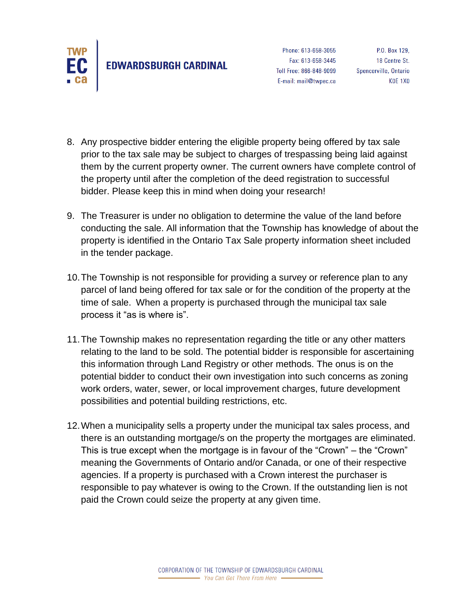

- 8. Any prospective bidder entering the eligible property being offered by tax sale prior to the tax sale may be subject to charges of trespassing being laid against them by the current property owner. The current owners have complete control of the property until after the completion of the deed registration to successful bidder. Please keep this in mind when doing your research!
- 9. The Treasurer is under no obligation to determine the value of the land before conducting the sale. All information that the Township has knowledge of about the property is identified in the Ontario Tax Sale property information sheet included in the tender package.
- 10.The Township is not responsible for providing a survey or reference plan to any parcel of land being offered for tax sale or for the condition of the property at the time of sale. When a property is purchased through the municipal tax sale process it "as is where is".
- 11.The Township makes no representation regarding the title or any other matters relating to the land to be sold. The potential bidder is responsible for ascertaining this information through Land Registry or other methods. The onus is on the potential bidder to conduct their own investigation into such concerns as zoning work orders, water, sewer, or local improvement charges, future development possibilities and potential building restrictions, etc.
- 12.When a municipality sells a property under the municipal tax sales process, and there is an outstanding mortgage/s on the property the mortgages are eliminated. This is true except when the mortgage is in favour of the "Crown" – the "Crown" meaning the Governments of Ontario and/or Canada, or one of their respective agencies. If a property is purchased with a Crown interest the purchaser is responsible to pay whatever is owing to the Crown. If the outstanding lien is not paid the Crown could seize the property at any given time.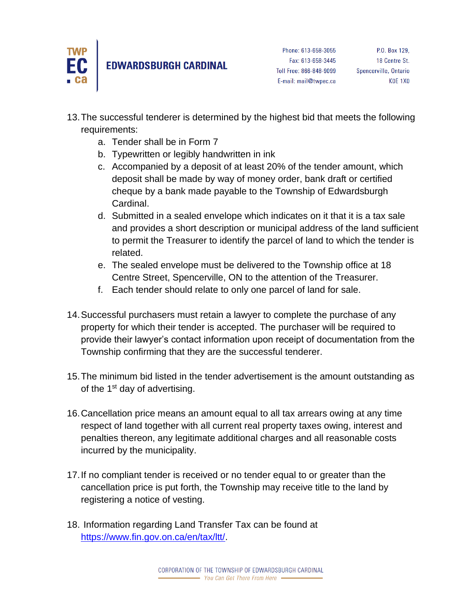

## **EDWARDSBURGH CARDINAL**

- 13.The successful tenderer is determined by the highest bid that meets the following requirements:
	- a. Tender shall be in Form 7
	- b. Typewritten or legibly handwritten in ink
	- c. Accompanied by a deposit of at least 20% of the tender amount, which deposit shall be made by way of money order, bank draft or certified cheque by a bank made payable to the Township of Edwardsburgh Cardinal.
	- d. Submitted in a sealed envelope which indicates on it that it is a tax sale and provides a short description or municipal address of the land sufficient to permit the Treasurer to identify the parcel of land to which the tender is related.
	- e. The sealed envelope must be delivered to the Township office at 18 Centre Street, Spencerville, ON to the attention of the Treasurer.
	- f. Each tender should relate to only one parcel of land for sale.
- 14.Successful purchasers must retain a lawyer to complete the purchase of any property for which their tender is accepted. The purchaser will be required to provide their lawyer's contact information upon receipt of documentation from the Township confirming that they are the successful tenderer.
- 15.The minimum bid listed in the tender advertisement is the amount outstanding as of the  $1<sup>st</sup>$  day of advertising.
- 16.Cancellation price means an amount equal to all tax arrears owing at any time respect of land together with all current real property taxes owing, interest and penalties thereon, any legitimate additional charges and all reasonable costs incurred by the municipality.
- 17.If no compliant tender is received or no tender equal to or greater than the cancellation price is put forth, the Township may receive title to the land by registering a notice of vesting.
- 18. Information regarding Land Transfer Tax can be found at [https://www.fin.gov.on.ca/en/tax/ltt/.](https://www.fin.gov.on.ca/en/tax/ltt/)